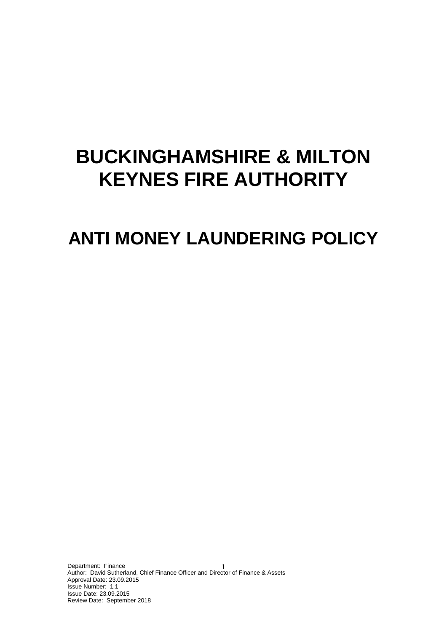# **BUCKINGHAMSHIRE & MILTON KEYNES FIRE AUTHORITY**

## **ANTI MONEY LAUNDERING POLICY**

Department: Finance Department: Finance<br>Author: David Sutherland, Chief Finance Officer and Director of Finance & Assets Approval Date: 23.09.2015 Issue Number: 1.1 Issue Date: 23.09.2015 Review Date: September 2018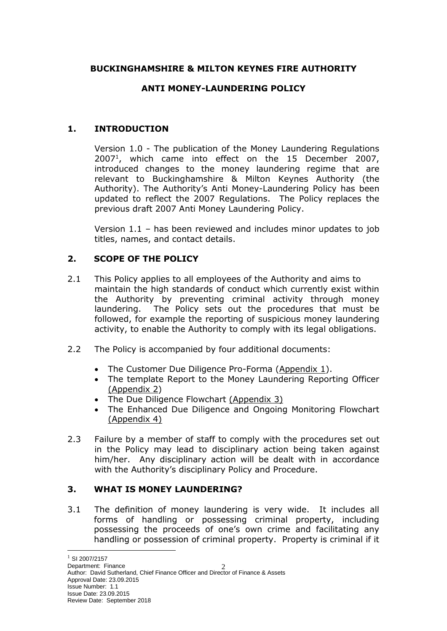## **BUCKINGHAMSHIRE & MILTON KEYNES FIRE AUTHORITY**

## **ANTI MONEY-LAUNDERING POLICY**

## **1. INTRODUCTION**

Version 1.0 - The publication of the Money Laundering Regulations 2007<sup>1</sup> , which came into effect on the 15 December 2007, introduced changes to the money laundering regime that are relevant to Buckinghamshire & Milton Keynes Authority (the Authority). The Authority's Anti Money-Laundering Policy has been updated to reflect the 2007 Regulations. The Policy replaces the previous draft 2007 Anti Money Laundering Policy.

Version 1.1 – has been reviewed and includes minor updates to job titles, names, and contact details.

## **2. SCOPE OF THE POLICY**

- 2.1 This Policy applies to all employees of the Authority and aims to maintain the high standards of conduct which currently exist within the Authority by preventing criminal activity through money laundering. The Policy sets out the procedures that must be followed, for example the reporting of suspicious money laundering activity, to enable the Authority to comply with its legal obligations.
- 2.2 The Policy is accompanied by four additional documents:
	- The Customer Due Diligence Pro-Forma (Appendix 1).
	- The template Report to the Money Laundering Reporting Officer (Appendix 2)
	- The Due Diligence Flowchart (Appendix 3)
	- The Enhanced Due Diligence and Ongoing Monitoring Flowchart (Appendix 4)
- 2.3 Failure by a member of staff to comply with the procedures set out in the Policy may lead to disciplinary action being taken against him/her. Any disciplinary action will be dealt with in accordance with the Authority's disciplinary Policy and Procedure.

#### **3. WHAT IS MONEY LAUNDERING?**

3.1 The definition of money laundering is very wide. It includes all forms of handling or possessing criminal property, including possessing the proceeds of one's own crime and facilitating any handling or possession of criminal property. Property is criminal if it

-

Department: Finance Department: Finance<br>Author: David Sutherland, Chief Finance Officer and Director of Finance & Assets Approval Date: 23.09.2015 Issue Number: 1.1 Issue Date: 23.09.2015 Review Date: September 2018

 $1$  SI 2007/2157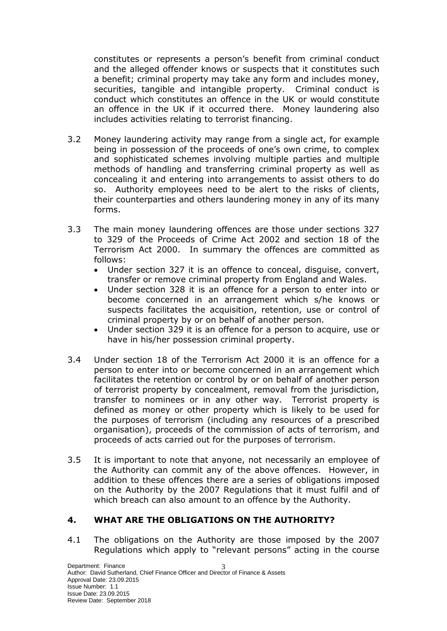constitutes or represents a person's benefit from criminal conduct and the alleged offender knows or suspects that it constitutes such a benefit; criminal property may take any form and includes money, securities, tangible and intangible property. Criminal conduct is conduct which constitutes an offence in the UK or would constitute an offence in the UK if it occurred there. Money laundering also includes activities relating to terrorist financing.

- 3.2 Money laundering activity may range from a single act, for example being in possession of the proceeds of one's own crime, to complex and sophisticated schemes involving multiple parties and multiple methods of handling and transferring criminal property as well as concealing it and entering into arrangements to assist others to do so. Authority employees need to be alert to the risks of clients, their counterparties and others laundering money in any of its many forms.
- 3.3 The main money laundering offences are those under sections 327 to 329 of the Proceeds of Crime Act 2002 and section 18 of the Terrorism Act 2000. In summary the offences are committed as follows:
	- Under section 327 it is an offence to conceal, disguise, convert, transfer or remove criminal property from England and Wales.
	- Under section 328 it is an offence for a person to enter into or become concerned in an arrangement which s/he knows or suspects facilitates the acquisition, retention, use or control of criminal property by or on behalf of another person.
	- Under section 329 it is an offence for a person to acquire, use or have in his/her possession criminal property.
- 3.4 Under section 18 of the Terrorism Act 2000 it is an offence for a person to enter into or become concerned in an arrangement which facilitates the retention or control by or on behalf of another person of terrorist property by concealment, removal from the jurisdiction, transfer to nominees or in any other way. Terrorist property is defined as money or other property which is likely to be used for the purposes of terrorism (including any resources of a prescribed organisation), proceeds of the commission of acts of terrorism, and proceeds of acts carried out for the purposes of terrorism.
- 3.5 It is important to note that anyone, not necessarily an employee of the Authority can commit any of the above offences. However, in addition to these offences there are a series of obligations imposed on the Authority by the 2007 Regulations that it must fulfil and of which breach can also amount to an offence by the Authority.

## **4. WHAT ARE THE OBLIGATIONS ON THE AUTHORITY?**

4.1 The obligations on the Authority are those imposed by the 2007 Regulations which apply to "relevant persons" acting in the course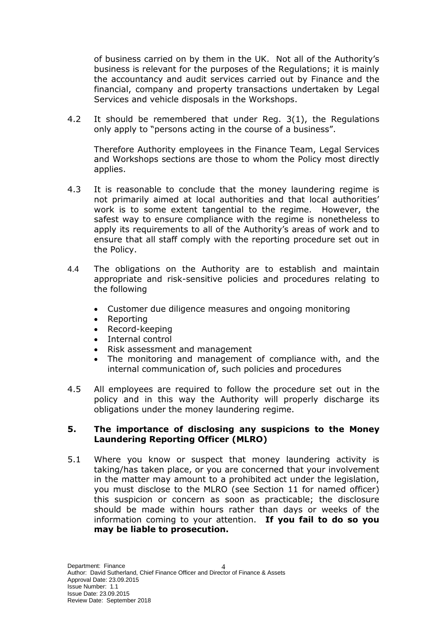of business carried on by them in the UK. Not all of the Authority's business is relevant for the purposes of the Regulations; it is mainly the accountancy and audit services carried out by Finance and the financial, company and property transactions undertaken by Legal Services and vehicle disposals in the Workshops.

4.2 It should be remembered that under Reg. 3(1), the Regulations only apply to "persons acting in the course of a business".

Therefore Authority employees in the Finance Team, Legal Services and Workshops sections are those to whom the Policy most directly applies.

- 4.3 It is reasonable to conclude that the money laundering regime is not primarily aimed at local authorities and that local authorities' work is to some extent tangential to the regime. However, the safest way to ensure compliance with the regime is nonetheless to apply its requirements to all of the Authority's areas of work and to ensure that all staff comply with the reporting procedure set out in the Policy.
- 4.4 The obligations on the Authority are to establish and maintain appropriate and risk-sensitive policies and procedures relating to the following
	- Customer due diligence measures and ongoing monitoring
	- Reporting
	- Record-keeping
	- Internal control
	- Risk assessment and management
	- The monitoring and management of compliance with, and the internal communication of, such policies and procedures
- 4.5 All employees are required to follow the procedure set out in the policy and in this way the Authority will properly discharge its obligations under the money laundering regime.

#### **5. The importance of disclosing any suspicions to the Money Laundering Reporting Officer (MLRO)**

5.1 Where you know or suspect that money laundering activity is taking/has taken place, or you are concerned that your involvement in the matter may amount to a prohibited act under the legislation, you must disclose to the MLRO (see Section 11 for named officer) this suspicion or concern as soon as practicable; the disclosure should be made within hours rather than days or weeks of the information coming to your attention. **If you fail to do so you may be liable to prosecution.**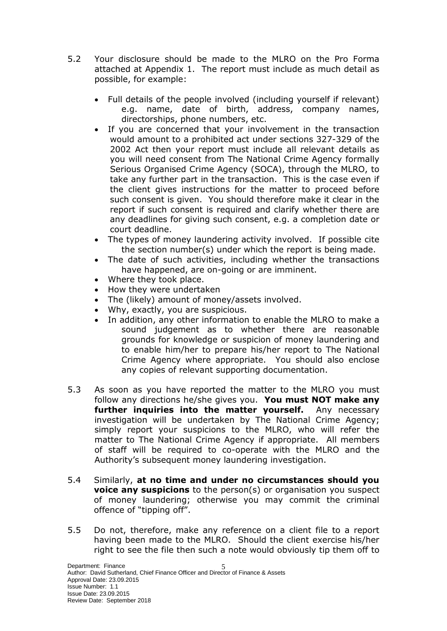- 5.2 Your disclosure should be made to the MLRO on the Pro Forma attached at Appendix 1. The report must include as much detail as possible, for example:
	- Full details of the people involved (including yourself if relevant) e.g. name, date of birth, address, company names, directorships, phone numbers, etc.
	- If you are concerned that your involvement in the transaction would amount to a prohibited act under sections 327-329 of the 2002 Act then your report must include all relevant details as you will need consent from The National Crime Agency formally Serious Organised Crime Agency (SOCA), through the MLRO, to take any further part in the transaction. This is the case even if the client gives instructions for the matter to proceed before such consent is given. You should therefore make it clear in the report if such consent is required and clarify whether there are any deadlines for giving such consent, e.g. a completion date or court deadline.
	- The types of money laundering activity involved. If possible cite the section number(s) under which the report is being made.
	- The date of such activities, including whether the transactions have happened, are on-going or are imminent.
	- Where they took place.
	- How they were undertaken
	- The (likely) amount of money/assets involved.
	- Why, exactly, you are suspicious.
	- In addition, any other information to enable the MLRO to make a sound judgement as to whether there are reasonable grounds for knowledge or suspicion of money laundering and to enable him/her to prepare his/her report to The National Crime Agency where appropriate. You should also enclose any copies of relevant supporting documentation.
- 5.3 As soon as you have reported the matter to the MLRO you must follow any directions he/she gives you. **You must NOT make any further inquiries into the matter yourself.** Any necessary investigation will be undertaken by The National Crime Agency; simply report your suspicions to the MLRO, who will refer the matter to The National Crime Agency if appropriate. All members of staff will be required to co-operate with the MLRO and the Authority's subsequent money laundering investigation.
- 5.4 Similarly, **at no time and under no circumstances should you voice any suspicions** to the person(s) or organisation you suspect of money laundering; otherwise you may commit the criminal offence of "tipping off".
- 5.5 Do not, therefore, make any reference on a client file to a report having been made to the MLRO. Should the client exercise his/her right to see the file then such a note would obviously tip them off to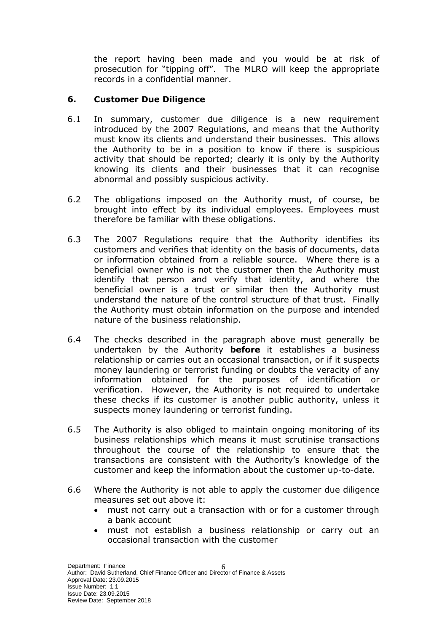the report having been made and you would be at risk of prosecution for "tipping off". The MLRO will keep the appropriate records in a confidential manner.

### **6. Customer Due Diligence**

- 6.1 In summary, customer due diligence is a new requirement introduced by the 2007 Regulations, and means that the Authority must know its clients and understand their businesses. This allows the Authority to be in a position to know if there is suspicious activity that should be reported; clearly it is only by the Authority knowing its clients and their businesses that it can recognise abnormal and possibly suspicious activity.
- 6.2 The obligations imposed on the Authority must, of course, be brought into effect by its individual employees. Employees must therefore be familiar with these obligations.
- 6.3 The 2007 Regulations require that the Authority identifies its customers and verifies that identity on the basis of documents, data or information obtained from a reliable source. Where there is a beneficial owner who is not the customer then the Authority must identify that person and verify that identity, and where the beneficial owner is a trust or similar then the Authority must understand the nature of the control structure of that trust. Finally the Authority must obtain information on the purpose and intended nature of the business relationship.
- 6.4 The checks described in the paragraph above must generally be undertaken by the Authority **before** it establishes a business relationship or carries out an occasional transaction, or if it suspects money laundering or terrorist funding or doubts the veracity of any information obtained for the purposes of identification or verification. However, the Authority is not required to undertake these checks if its customer is another public authority, unless it suspects money laundering or terrorist funding.
- 6.5 The Authority is also obliged to maintain ongoing monitoring of its business relationships which means it must scrutinise transactions throughout the course of the relationship to ensure that the transactions are consistent with the Authority's knowledge of the customer and keep the information about the customer up-to-date.
- 6.6 Where the Authority is not able to apply the customer due diligence measures set out above it:
	- must not carry out a transaction with or for a customer through a bank account
	- must not establish a business relationship or carry out an occasional transaction with the customer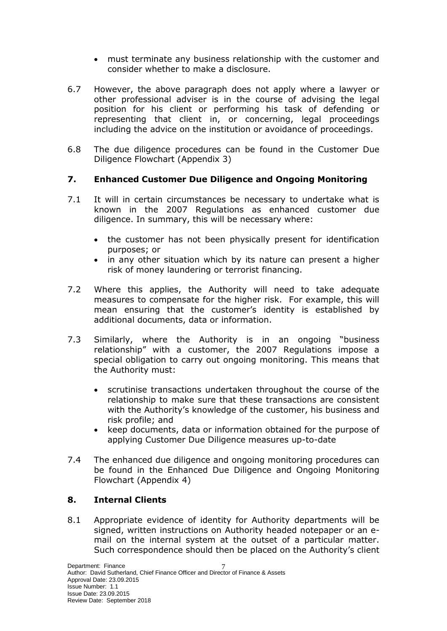- must terminate any business relationship with the customer and consider whether to make a disclosure.
- 6.7 However, the above paragraph does not apply where a lawyer or other professional adviser is in the course of advising the legal position for his client or performing his task of defending or representing that client in, or concerning, legal proceedings including the advice on the institution or avoidance of proceedings.
- 6.8 The due diligence procedures can be found in the Customer Due Diligence Flowchart (Appendix 3)

## **7. Enhanced Customer Due Diligence and Ongoing Monitoring**

- 7.1 It will in certain circumstances be necessary to undertake what is known in the 2007 Regulations as enhanced customer due diligence. In summary, this will be necessary where:
	- the customer has not been physically present for identification purposes; or
	- in any other situation which by its nature can present a higher risk of money laundering or terrorist financing.
- 7.2 Where this applies, the Authority will need to take adequate measures to compensate for the higher risk. For example, this will mean ensuring that the customer's identity is established by additional documents, data or information.
- 7.3 Similarly, where the Authority is in an ongoing "business relationship" with a customer, the 2007 Regulations impose a special obligation to carry out ongoing monitoring. This means that the Authority must:
	- scrutinise transactions undertaken throughout the course of the relationship to make sure that these transactions are consistent with the Authority's knowledge of the customer, his business and risk profile; and
	- keep documents, data or information obtained for the purpose of applying Customer Due Diligence measures up-to-date
- 7.4 The enhanced due diligence and ongoing monitoring procedures can be found in the Enhanced Due Diligence and Ongoing Monitoring Flowchart (Appendix 4)

#### **8. Internal Clients**

8.1 Appropriate evidence of identity for Authority departments will be signed, written instructions on Authority headed notepaper or an email on the internal system at the outset of a particular matter. Such correspondence should then be placed on the Authority's client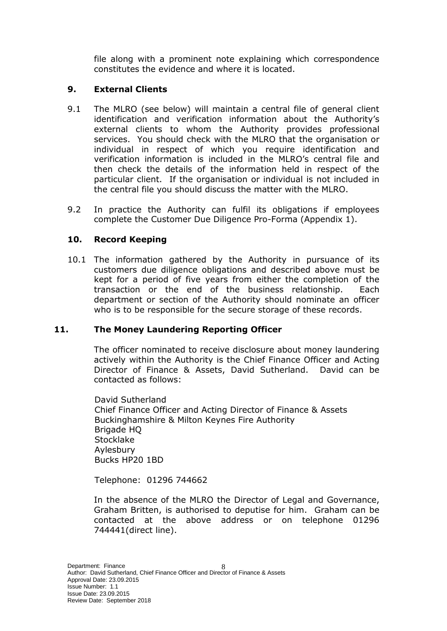file along with a prominent note explaining which correspondence constitutes the evidence and where it is located.

#### **9. External Clients**

- 9.1 The MLRO (see below) will maintain a central file of general client identification and verification information about the Authority's external clients to whom the Authority provides professional services. You should check with the MLRO that the organisation or individual in respect of which you require identification and verification information is included in the MLRO's central file and then check the details of the information held in respect of the particular client. If the organisation or individual is not included in the central file you should discuss the matter with the MLRO.
- 9.2 In practice the Authority can fulfil its obligations if employees complete the Customer Due Diligence Pro-Forma (Appendix 1).

### **10. Record Keeping**

10.1 The information gathered by the Authority in pursuance of its customers due diligence obligations and described above must be kept for a period of five years from either the completion of the transaction or the end of the business relationship. Each department or section of the Authority should nominate an officer who is to be responsible for the secure storage of these records.

#### **11. The Money Laundering Reporting Officer**

The officer nominated to receive disclosure about money laundering actively within the Authority is the Chief Finance Officer and Acting Director of Finance & Assets, David Sutherland. David can be contacted as follows:

David Sutherland Chief Finance Officer and Acting Director of Finance & Assets Buckinghamshire & Milton Keynes Fire Authority Brigade HQ Stocklake Aylesbury Bucks HP20 1BD

Telephone: 01296 744662

In the absence of the MLRO the Director of Legal and Governance, Graham Britten, is authorised to deputise for him. Graham can be contacted at the above address or on telephone 01296 744441(direct line).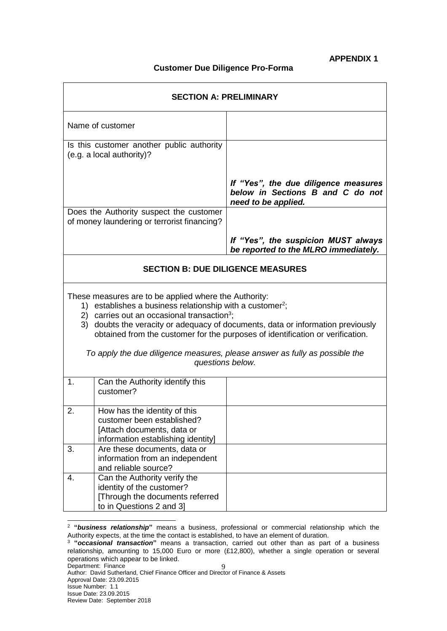#### **APPENDIX 1**

#### **Customer Due Diligence Pro-Forma**

| <b>SECTION A: PRELIMINARY</b>                                                                                                                                                                                                                                                                                                                                  |                                                                                                                                |                                                                                                 |  |
|----------------------------------------------------------------------------------------------------------------------------------------------------------------------------------------------------------------------------------------------------------------------------------------------------------------------------------------------------------------|--------------------------------------------------------------------------------------------------------------------------------|-------------------------------------------------------------------------------------------------|--|
| Name of customer                                                                                                                                                                                                                                                                                                                                               |                                                                                                                                |                                                                                                 |  |
| Is this customer another public authority<br>(e.g. a local authority)?                                                                                                                                                                                                                                                                                         |                                                                                                                                |                                                                                                 |  |
|                                                                                                                                                                                                                                                                                                                                                                |                                                                                                                                | If "Yes", the due diligence measures<br>below in Sections B and C do not<br>need to be applied. |  |
| Does the Authority suspect the customer<br>of money laundering or terrorist financing?                                                                                                                                                                                                                                                                         |                                                                                                                                |                                                                                                 |  |
|                                                                                                                                                                                                                                                                                                                                                                |                                                                                                                                | If "Yes", the suspicion MUST always<br>be reported to the MLRO immediately.                     |  |
| <b>SECTION B: DUE DILIGENCE MEASURES</b>                                                                                                                                                                                                                                                                                                                       |                                                                                                                                |                                                                                                 |  |
| These measures are to be applied where the Authority:<br>1) establishes a business relationship with a customer <sup>2</sup> ;<br>2) carries out an occasional transaction <sup>3</sup> ;<br>3) doubts the veracity or adequacy of documents, data or information previously<br>obtained from the customer for the purposes of identification or verification. |                                                                                                                                |                                                                                                 |  |
| To apply the due diligence measures, please answer as fully as possible the<br>questions below.                                                                                                                                                                                                                                                                |                                                                                                                                |                                                                                                 |  |
| 1.                                                                                                                                                                                                                                                                                                                                                             | Can the Authority identify this<br>customer?                                                                                   |                                                                                                 |  |
| 2.                                                                                                                                                                                                                                                                                                                                                             | How has the identity of this<br>customer been established?<br>[Attach documents, data or<br>information establishing identity] |                                                                                                 |  |
| 3.                                                                                                                                                                                                                                                                                                                                                             | Are these documents, data or<br>information from an independent<br>and reliable source?                                        |                                                                                                 |  |
| 4.                                                                                                                                                                                                                                                                                                                                                             | Can the Authority verify the<br>identity of the customer?<br>[Through the documents referred<br>to in Questions 2 and 3]       |                                                                                                 |  |

l <sup>2</sup> **"***business relationship***"** means a business, professional or commercial relationship which the Authority expects, at the time the contact is established, to have an element of duration.

<sup>3</sup> **"***occasional transaction***"** means a transaction, carried out other than as part of a business relationship, amounting to 15,000 Euro or more (£12,800), whether a single operation or several operations which appear to be linked.<br>Department: Finance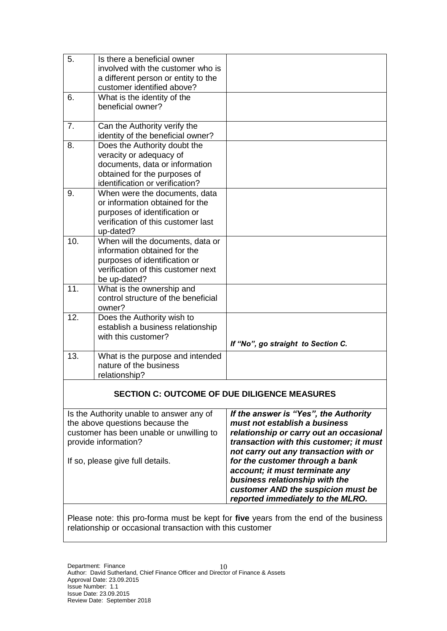| 5.                                                                                                                                                                                  | Is there a beneficial owner<br>involved with the customer who is<br>a different person or entity to the<br>customer identified above?                        |                                                                                                                                                                                                                                                                                                                                                                                         |  |  |
|-------------------------------------------------------------------------------------------------------------------------------------------------------------------------------------|--------------------------------------------------------------------------------------------------------------------------------------------------------------|-----------------------------------------------------------------------------------------------------------------------------------------------------------------------------------------------------------------------------------------------------------------------------------------------------------------------------------------------------------------------------------------|--|--|
| 6.                                                                                                                                                                                  | What is the identity of the<br>beneficial owner?                                                                                                             |                                                                                                                                                                                                                                                                                                                                                                                         |  |  |
| 7.                                                                                                                                                                                  | Can the Authority verify the<br>identity of the beneficial owner?                                                                                            |                                                                                                                                                                                                                                                                                                                                                                                         |  |  |
| 8.                                                                                                                                                                                  | Does the Authority doubt the<br>veracity or adequacy of<br>documents, data or information<br>obtained for the purposes of<br>identification or verification? |                                                                                                                                                                                                                                                                                                                                                                                         |  |  |
| 9.                                                                                                                                                                                  | When were the documents, data<br>or information obtained for the<br>purposes of identification or<br>verification of this customer last<br>up-dated?         |                                                                                                                                                                                                                                                                                                                                                                                         |  |  |
| 10.                                                                                                                                                                                 | When will the documents, data or<br>information obtained for the<br>purposes of identification or<br>verification of this customer next<br>be up-dated?      |                                                                                                                                                                                                                                                                                                                                                                                         |  |  |
| 11.                                                                                                                                                                                 | What is the ownership and<br>control structure of the beneficial<br>owner?                                                                                   |                                                                                                                                                                                                                                                                                                                                                                                         |  |  |
| 12.                                                                                                                                                                                 | Does the Authority wish to<br>establish a business relationship<br>with this customer?                                                                       | If "No", go straight to Section C.                                                                                                                                                                                                                                                                                                                                                      |  |  |
| 13.                                                                                                                                                                                 | What is the purpose and intended<br>nature of the business<br>relationship?                                                                                  |                                                                                                                                                                                                                                                                                                                                                                                         |  |  |
| <b>SECTION C: OUTCOME OF DUE DILIGENCE MEASURES</b>                                                                                                                                 |                                                                                                                                                              |                                                                                                                                                                                                                                                                                                                                                                                         |  |  |
| Is the Authority unable to answer any of<br>the above questions because the<br>customer has been unable or unwilling to<br>provide information?<br>If so, please give full details. |                                                                                                                                                              | If the answer is "Yes", the Authority<br>must not establish a business<br>relationship or carry out an occasional<br>transaction with this customer; it must<br>not carry out any transaction with or<br>for the customer through a bank<br>account; it must terminate any<br>business relationship with the<br>customer AND the suspicion must be<br>reported immediately to the MLRO. |  |  |

Please note: this pro-forma must be kept for **five** years from the end of the business relationship or occasional transaction with this customer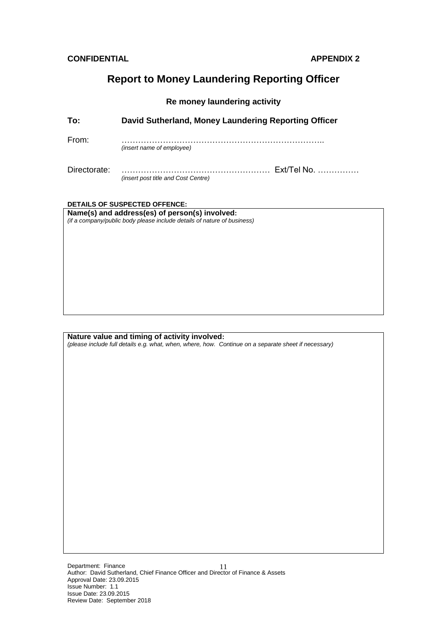## **Report to Money Laundering Reporting Officer**

#### **Re money laundering activity**

| To:          | David Sutherland, Money Laundering Reporting Officer      |  |
|--------------|-----------------------------------------------------------|--|
| From:        | <i>(insert name of employee)</i>                          |  |
| Directorate: | Ext/Tel No.<br><i>(insert post title and Cost Centre)</i> |  |

#### **DETAILS OF SUSPECTED OFFENCE:**

**Name(s) and address(es) of person(s) involved:** *(if a company/public body please include details of nature of business)*

#### **Nature value and timing of activity involved:**

*(please include full details e.g. what, when, where, how. Continue on a separate sheet if necessary)*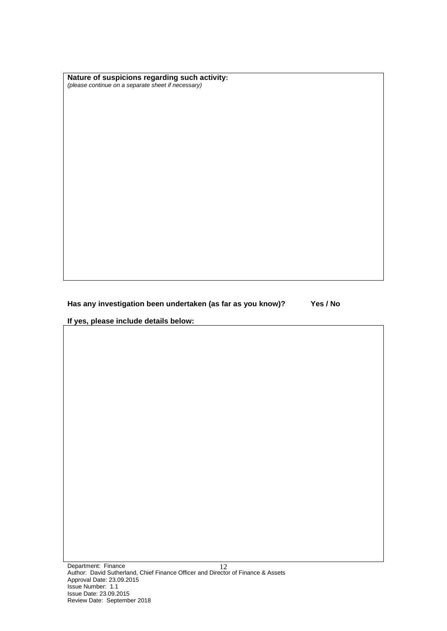**Nature of suspicions regarding such activity:** *(please continue on a separate sheet if necessary)*

**Has any investigation been undertaken (as far as you know)? Yes / No**

**If yes, please include details below:**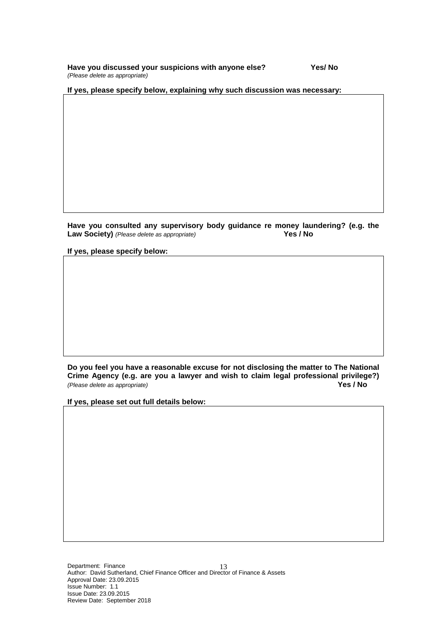**Have you discussed your suspicions with anyone else? Yes/ No** *(Please delete as appropriate)*

**If yes, please specify below, explaining why such discussion was necessary:**

Have you consulted any supervisory body guidance re money laundering? (e.g. the Law Society) (Please delete as appropriate) **Law Society)** *(Please delete as appropriate)* 

**If yes, please specify below:**

**Do you feel you have a reasonable excuse for not disclosing the matter to The National**  Crime Agency (e.g. are you a lawyer and wish to claim legal professional privilege?)<br>(Please delete as appropriate) **Propriaty** *(Please delete as appropriate)* 

**If yes, please set out full details below:**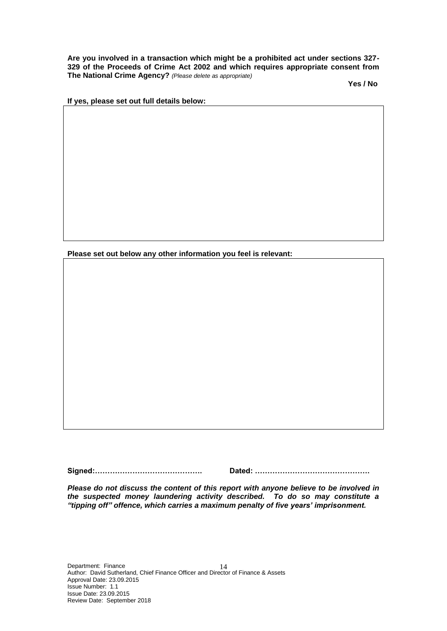**Are you involved in a transaction which might be a prohibited act under sections 327- 329 of the Proceeds of Crime Act 2002 and which requires appropriate consent from The National Crime Agency?** *(Please delete as appropriate)*

 **Yes / No**

**If yes, please set out full details below:**

**Please set out below any other information you feel is relevant:**

**Signed:……………………………………. Dated: ……………………………………….**

*Please do not discuss the content of this report with anyone believe to be involved in the suspected money laundering activity described. To do so may constitute a "tipping off" offence, which carries a maximum penalty of five years' imprisonment.*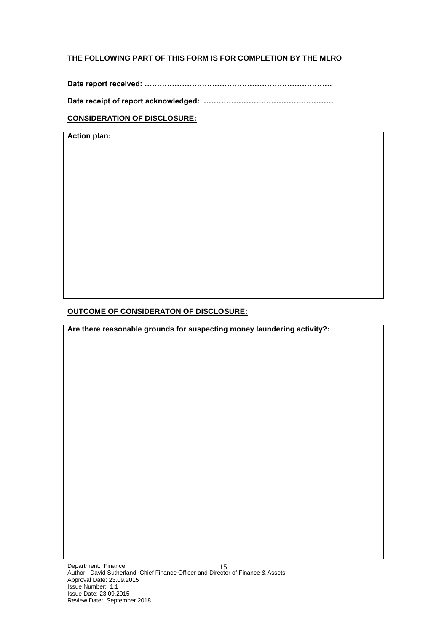#### **THE FOLLOWING PART OF THIS FORM IS FOR COMPLETION BY THE MLRO**

**Date report received: …………………………………………………………………**

**Date receipt of report acknowledged: …………………………………………….**

#### **CONSIDERATION OF DISCLOSURE:**

**Action plan:**

#### **OUTCOME OF CONSIDERATON OF DISCLOSURE:**

**Are there reasonable grounds for suspecting money laundering activity?:**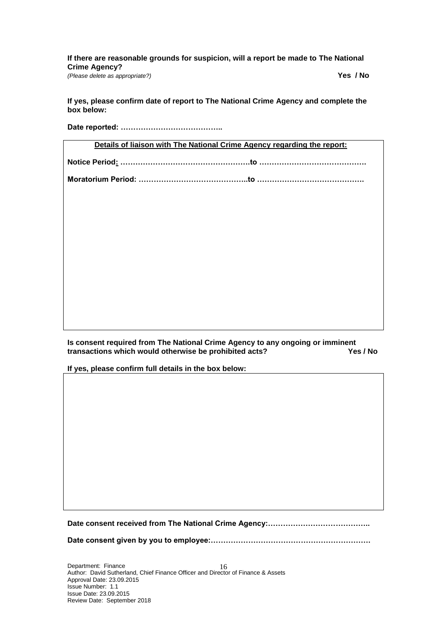**If there are reasonable grounds for suspicion, will a report be made to The National Crime Agency?**  *(Please delete as appropriate?)* **Yes / No** 

**If yes, please confirm date of report to The National Crime Agency and complete the box below:**

**Date reported: …………………………………..**

**Details of liaison with The National Crime Agency regarding the report:**

**Notice Period: …………………………………………….to …………………………………….**

**Moratorium Period: ……………………………………..to …………………………………….**

**Is consent required from The National Crime Agency to any ongoing or imminent**  transactions which would otherwise be prohibited acts?

**If yes, please confirm full details in the box below:**

**Date consent received from The National Crime Agency:…………………………………..**

**Date consent given by you to employee:……………………………………………………….**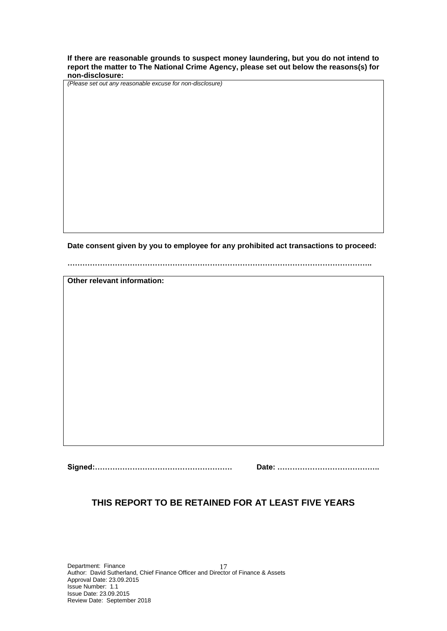**If there are reasonable grounds to suspect money laundering, but you do not intend to report the matter to The National Crime Agency, please set out below the reasons(s) for non-disclosure:**

*(Please set out any reasonable excuse for non-disclosure)*

**Date consent given by you to employee for any prohibited act transactions to proceed:**

**…………………………………………………………………………………………………………..**

**Other relevant information:**

**Signed:………………………………………………. Date: …………………………………..**

#### **THIS REPORT TO BE RETAINED FOR AT LEAST FIVE YEARS**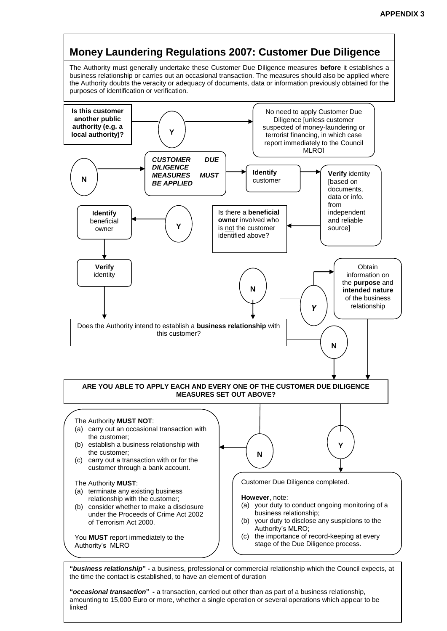

Author: David Sutherland, Chief Finance Officer and Director of Finance Assets Finance and Director of Finance  $\alpha$ the time the contact is established, to have an element of duration

Issue Number: 1.1 "**occasional transaction" -** a transaction, carried out other than as part of a business relationship, amounting to 15,000 Euro or more, whether a single operation or several operations which appear to be linked